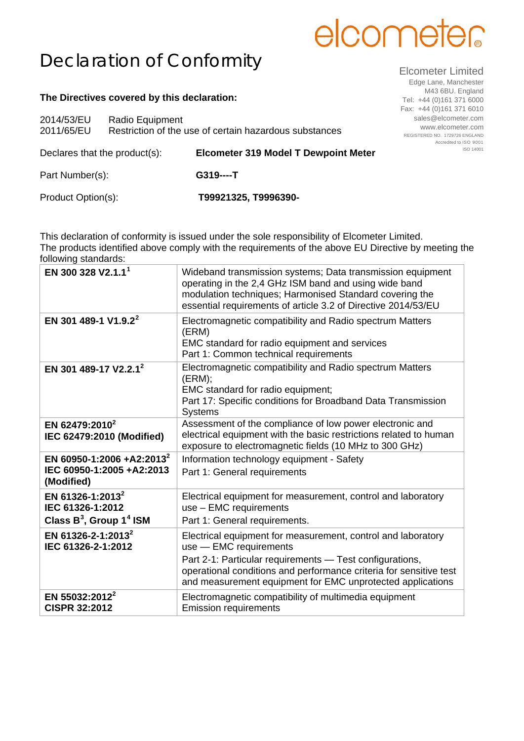## elcometer

## Declaration of Conformity

## **The Directives covered by this declaration:**

| 2014/53/EU<br>2011/65/EU      | Radio Equipment | Restriction of the use of certain hazardous substances |
|-------------------------------|-----------------|--------------------------------------------------------|
| Declares that the product(s): |                 | <b>Elcometer 319 Model T Dewpoint Meter</b>            |
| Part Number(s):               |                 | $G319---T$                                             |
| Product Option(s):            |                 | T99921325, T9996390-                                   |

This declaration of conformity is issued under the sole responsibility of Elcometer Limited. The products identified above comply with the requirements of the above EU Directive by meeting the following standards:

| EN 300 328 V2.1.1 <sup>1</sup>                                                             | Wideband transmission systems; Data transmission equipment<br>operating in the 2,4 GHz ISM band and using wide band<br>modulation techniques; Harmonised Standard covering the<br>essential requirements of article 3.2 of Directive 2014/53/EU                                        |
|--------------------------------------------------------------------------------------------|----------------------------------------------------------------------------------------------------------------------------------------------------------------------------------------------------------------------------------------------------------------------------------------|
| EN 301 489-1 V1.9.2 <sup>2</sup>                                                           | Electromagnetic compatibility and Radio spectrum Matters<br>(ERM)<br>EMC standard for radio equipment and services<br>Part 1: Common technical requirements                                                                                                                            |
| EN 301 489-17 V2.2.1 <sup>2</sup>                                                          | Electromagnetic compatibility and Radio spectrum Matters<br>(ERM);<br>EMC standard for radio equipment;<br>Part 17: Specific conditions for Broadband Data Transmission<br><b>Systems</b>                                                                                              |
| EN 62479:2010 <sup>2</sup><br>IEC 62479:2010 (Modified)                                    | Assessment of the compliance of low power electronic and<br>electrical equipment with the basic restrictions related to human<br>exposure to electromagnetic fields (10 MHz to 300 GHz)                                                                                                |
| EN 60950-1:2006 +A2:2013 <sup>2</sup><br>IEC 60950-1:2005 +A2:2013<br>(Modified)           | Information technology equipment - Safety<br>Part 1: General requirements                                                                                                                                                                                                              |
| EN 61326-1:2013 <sup>2</sup><br>IEC 61326-1:2012<br>Class $B^3$ , Group 1 <sup>4</sup> ISM | Electrical equipment for measurement, control and laboratory<br>use - EMC requirements<br>Part 1: General requirements.                                                                                                                                                                |
| EN 61326-2-1:2013 <sup>2</sup><br>IEC 61326-2-1:2012                                       | Electrical equipment for measurement, control and laboratory<br>use - EMC requirements<br>Part 2-1: Particular requirements - Test configurations,<br>operational conditions and performance criteria for sensitive test<br>and measurement equipment for EMC unprotected applications |
| EN 55032:2012 <sup>2</sup><br><b>CISPR 32:2012</b>                                         | Electromagnetic compatibility of multimedia equipment<br><b>Emission requirements</b>                                                                                                                                                                                                  |

Elcometer Limited

Edge Lane, Manchester M43 6BU. England Tel: +44 (0)161 371 6000 Fax: +44 (0)161 371 6010 sales@elcometer.com www.elcometer.com REGISTERED NO. 1729726 ENGLAND Accredited to ISO 9001 ISO 14001